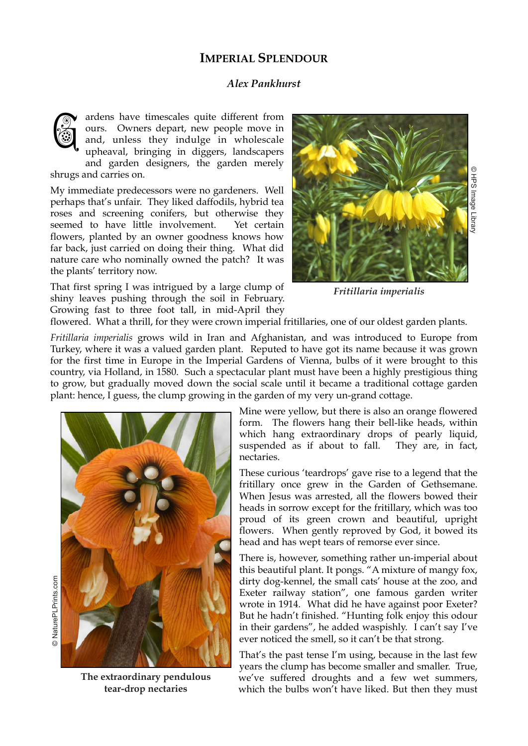## **IMPERIAL SPLENDOUR**

## *Alex Pankhurst*

ardens have timescales quite different from ours. Owners depart, new people move in and, unless they indulge in wholescale upheaval, bringing in diggers, landscapers and garden designers, the garden merely G

shrugs and carries on.

My immediate predecessors were no gardeners. Well perhaps that's unfair. They liked daffodils, hybrid tea roses and screening conifers, but otherwise they seemed to have little involvement. Yet certain flowers, planted by an owner goodness knows how far back, just carried on doing their thing. What did nature care who nominally owned the patch? It was the plants' territory now.

That first spring I was intrigued by a large clump of shiny leaves pushing through the soil in February. Growing fast to three foot tall, in mid-April they



**HPS** Image Library

*Fritillaria imperialis*

flowered. What a thrill, for they were crown imperial fritillaries, one of our oldest garden plants.

*Fritillaria imperialis* grows wild in Iran and Afghanistan, and was introduced to Europe from Turkey, where it was a valued garden plant. Reputed to have got its name because it was grown for the first time in Europe in the Imperial Gardens of Vienna, bulbs of it were brought to this country, via Holland, in 1580. Such a spectacular plant must have been a highly prestigious thing to grow, but gradually moved down the social scale until it became a traditional cottage garden plant: hence, I guess, the clump growing in the garden of my very un-grand cottage.



**The extraordinary pendulous tear-drop nectaries**

Mine were yellow, but there is also an orange flowered form. The flowers hang their bell-like heads, within which hang extraordinary drops of pearly liquid, suspended as if about to fall. They are, in fact, nectaries.

These curious 'teardrops' gave rise to a legend that the fritillary once grew in the Garden of Gethsemane. When Jesus was arrested, all the flowers bowed their heads in sorrow except for the fritillary, which was too proud of its green crown and beautiful, upright flowers. When gently reproved by God, it bowed its head and has wept tears of remorse ever since.

There is, however, something rather un-imperial about this beautiful plant. It pongs. "A mixture of mangy fox, dirty dog-kennel, the small cats' house at the zoo, and Exeter railway station", one famous garden writer wrote in 1914. What did he have against poor Exeter? But he hadn't finished. "Hunting folk enjoy this odour in their gardens", he added waspishly. I can't say I've ever noticed the smell, so it can't be that strong.

That's the past tense I'm using, because in the last few years the clump has become smaller and smaller. True, we've suffered droughts and a few wet summers, which the bulbs won't have liked. But then they must